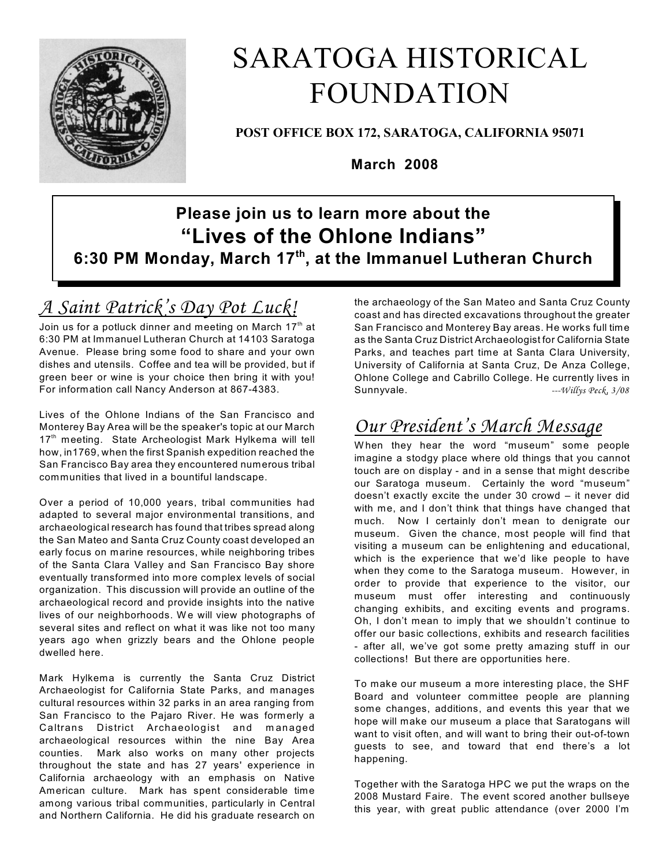

# SARATOGA HISTORICAL FOUNDATION

**POST OFFICE BOX 172, SARATOGA, CALIFORNIA 95071**

**March 2008**

# **Please join us to learn more about the "Lives of the Ohlone Indians" 6:30 PM Monday, March 17<sup>th</sup>, at the Immanuel Lutheran Church**

# *A Saint Patrick's Day Pot Luck!*

Join us for a potluck dinner and meeting on March  $17<sup>th</sup>$  at 6:30 PM at Immanuel Lutheran Church at 14103 Saratoga Avenue. Please bring some food to share and your own dishes and utensils. Coffee and tea will be provided, but if green beer or wine is your choice then bring it with you! For information call Nancy Anderson at 867-4383.

Lives of the Ohlone Indians of the San Francisco and Monterey Bay Area will be the speaker's topic at our March 17<sup>th</sup> meeting. State Archeologist Mark Hylkema will tell how, in1769, when the first Spanish expedition reached the San Francisco Bay area they encountered numerous tribal communities that lived in a bountiful landscape.

Over a period of 10,000 years, tribal communities had adapted to several major environmental transitions, and archaeological research has found that tribes spread along the San Mateo and Santa Cruz County coast developed an early focus on marine resources, while neighboring tribes of the Santa Clara Valley and San Francisco Bay shore eventually transformed into more complex levels of social organization. This discussion will provide an outline of the archaeological record and provide insights into the native lives of our neighborhoods. We will view photographs of several sites and reflect on what it was like not too many years ago when grizzly bears and the Ohlone people dwelled here.

Mark Hylkema is currently the Santa Cruz District Archaeologist for California State Parks, and manages cultural resources within 32 parks in an area ranging from San Francisco to the Pajaro River. He was formerly a Caltrans District Archaeologist and managed archaeological resources within the nine Bay Area counties. Mark also works on many other projects throughout the state and has 27 years' experience in California archaeology with an emphasis on Native American culture. Mark has spent considerable time among various tribal communities, particularly in Central and Northern California. He did his graduate research on

the archaeology of the San Mateo and Santa Cruz County coast and has directed excavations throughout the greater San Francisco and Monterey Bay areas. He works full time as the Santa Cruz District Archaeologist for California State Parks, and teaches part time at Santa Clara University, University of California at Santa Cruz, De Anza College, Ohlone College and Cabrillo College. He currently lives in Sunnyvale. *---Willys Peck, 3/08*

# *Our President's March Message*

W hen they hear the word "museum" some people imagine a stodgy place where old things that you cannot touch are on display - and in a sense that might describe our Saratoga museum. Certainly the word "museum" doesn't exactly excite the under 30 crowd – it never did with me, and I don't think that things have changed that much. Now I certainly don't mean to denigrate our museum. Given the chance, most people will find that visiting a museum can be enlightening and educational, which is the experience that we'd like people to have when they come to the Saratoga museum. However, in order to provide that experience to the visitor, our museum must offer interesting and continuously changing exhibits, and exciting events and programs. Oh, I don't mean to imply that we shouldn't continue to offer our basic collections, exhibits and research facilities - after all, we've got some pretty amazing stuff in our collections! But there are opportunities here.

To make our museum a more interesting place, the SHF Board and volunteer committee people are planning some changes, additions, and events this year that we hope will make our museum a place that Saratogans will want to visit often, and will want to bring their out-of-town guests to see, and toward that end there's a lot happening.

Together with the Saratoga HPC we put the wraps on the 2008 Mustard Faire. The event scored another bullseye this year, with great public attendance (over 2000 I'm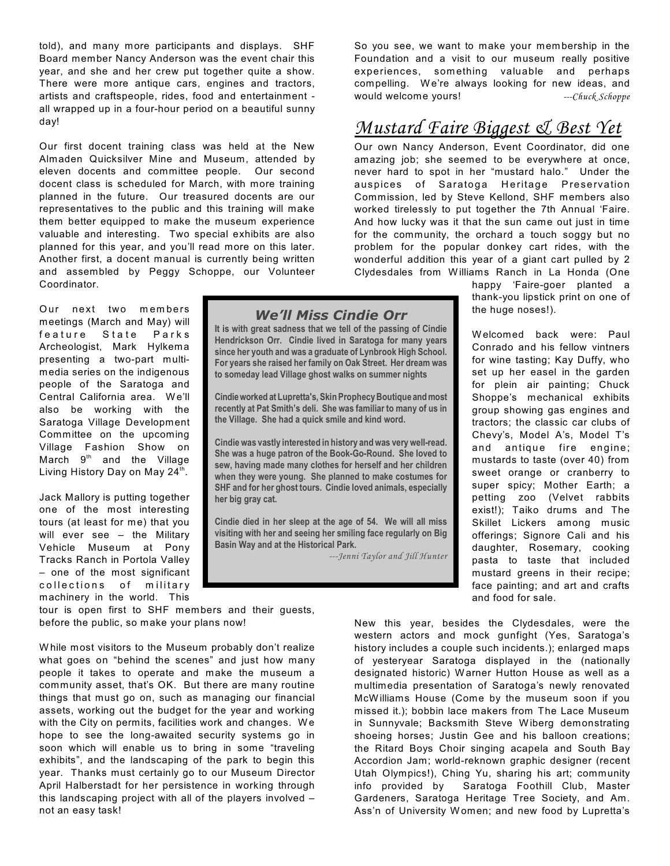told), and many more participants and displays. SHF Board member Nancy Anderson was the event chair this year, and she and her crew put together quite a show. There were more antique cars, engines and tractors, artists and craftspeople, rides, food and entertainment all wrapped up in a four-hour period on a beautiful sunny day!

Our first docent training class was held at the New Almaden Quicksilver Mine and Museum, attended by eleven docents and committee people. Our second docent class is scheduled for March, with more training planned in the future. Our treasured docents are our representatives to the public and this training will make them better equipped to make the museum experience valuable and interesting. Two special exhibits are also planned for this year, and you'll read more on this later. Another first, a docent manual is currently being written and assembled by Peggy Schoppe, our Volunteer Coordinator.

Our next two members meetings (March and May) will feature State Parks Archeologist, Mark Hylkema presenting a two-part multimedia series on the indigenous people of the Saratoga and Central California area. We'll also be working with the Saratoga Village Development Committee on the upcoming Village Fashion Show on March  $9<sup>th</sup>$  and the Village Living History Day on May 24<sup>th</sup>.

Jack Mallory is putting together one of the most interesting tours (at least for me) that you will ever see – the Military Vehicle Museum at Pony Tracks Ranch in Portola Valley – one of the most significant collections of military machinery in the world. This

tour is open first to SHF members and their guests, before the public, so make your plans now!

W hile most visitors to the Museum probably don't realize what goes on "behind the scenes" and just how many people it takes to operate and make the museum a community asset, that's OK. But there are many routine things that must go on, such as managing our financial assets, working out the budget for the year and working with the City on permits, facilities work and changes. We hope to see the long-awaited security systems go in soon which will enable us to bring in some "traveling exhibits", and the landscaping of the park to begin this year. Thanks must certainly go to our Museum Director April Halberstadt for her persistence in working through this landscaping project with all of the players involved – not an easy task!

*We'll Miss Cindie Orr*

**It is with great sadness that we tell of the passing of Cindie Hendrickson Orr. Cindie lived in Saratoga for many years since her youth and was a graduate of Lynbrook High School. For years she raised her family on Oak Street. Her dream was to someday lead Village ghost walks on summer nights**

**Cindie worked at Lupretta's, Skin Prophecy Boutique and most recently at Pat Smith's deli. She was familiar to many of us in the Village. She had a quick smile and kind word.** 

**Cindie was vastly interested in history andwas very well-read. She was a huge patron of the Book-Go-Round. She loved to sew, having made many clothes for herself and her children when they were young. She planned to make costumes for SHF and for her ghost tours. Cindie loved animals, especially her big gray cat.**

**Cindie died in her sleep at the age of 54. We will all miss visiting with her and seeing her smiling face regularly on Big Basin Way and at the Historical Park.**

*---Jenni Taylor and Jill Hunter*

So you see, we want to make your membership in the Foundation and a visit to our museum really positive experiences, som ething valuable and perhaps compelling. We're always looking for new ideas, and would welcome yours! *---Chuck Schoppe*

## *Mustard Faire Biggest & Best Yet*

Our own Nancy Anderson, Event Coordinator, did one amazing job; she seemed to be everywhere at once, never hard to spot in her "mustard halo." Under the auspices of Saratoga Heritage Preservation Commission, led by Steve Kellond, SHF members also worked tirelessly to put together the 7th Annual 'Faire. And how lucky was it that the sun came out just in time for the community, the orchard a touch soggy but no problem for the popular donkey cart rides, with the wonderful addition this year of a giant cart pulled by 2 Clydesdales from W illiams Ranch in La Honda (One

> happy 'Faire-goer planted a thank-you lipstick print on one of the huge noses!).

> W elcomed back were: Paul Conrado and his fellow vintners for wine tasting; Kay Duffy, who set up her easel in the garden for plein air painting; Chuck Shoppe's mechanical exhibits group showing gas engines and tractors; the classic car clubs of Chevy's, Model A's, Model T's and antique fire engine: mustards to taste (over 40) from sweet orange or cranberry to super spicy; Mother Earth; a petting zoo (Velvet rabbits exist!); Taiko drums and The Skillet Lickers among music offerings; Signore Cali and his daughter, Rosemary, cooking pasta to taste that included mustard greens in their recipe; face painting; and art and crafts and food for sale.

New this year, besides the Clydesdales, were the western actors and mock gunfight (Yes, Saratoga's history includes a couple such incidents.); enlarged maps of yesteryear Saratoga displayed in the (nationally designated historic) W arner Hutton House as well as a multimedia presentation of Saratoga's newly renovated McW illiams House (Come by the museum soon if you missed it.); bobbin lace makers from The Lace Museum in Sunnyvale; Backsmith Steve Wiberg demonstrating shoeing horses; Justin Gee and his balloon creations; the Ritard Boys Choir singing acapela and South Bay Accordion Jam; world-reknown graphic designer (recent Utah Olympics!), Ching Yu, sharing his art; community info provided by Saratoga Foothill Club, Master Gardeners, Saratoga Heritage Tree Society, and Am. Ass'n of University W omen; and new food by Lupretta's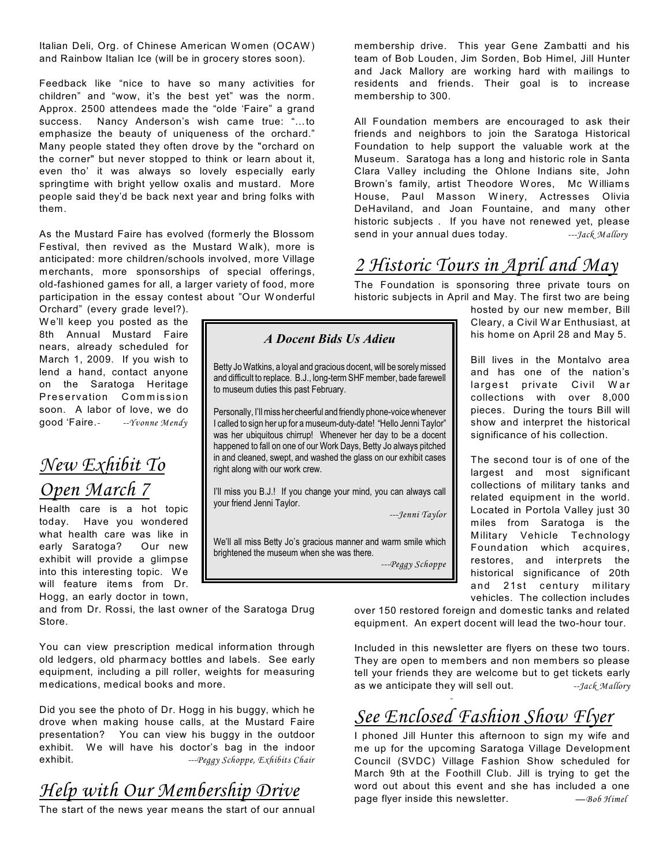Italian Deli, Org. of Chinese American Women (OCAW) and Rainbow Italian Ice (will be in grocery stores soon).

Feedback like "nice to have so many activities for children" and "wow, it's the best yet" was the norm. Approx. 2500 attendees made the "olde 'Faire" a grand success. Nancy Anderson's wish came true: "…to emphasize the beauty of uniqueness of the orchard." Many people stated they often drove by the "orchard on the corner" but never stopped to think or learn about it, even tho' it was always so lovely especially early springtime with bright yellow oxalis and mustard. More people said they'd be back next year and bring folks with them.

As the Mustard Faire has evolved (formerly the Blossom Festival, then revived as the Mustard Walk), more is anticipated: more children/schools involved, more Village merchants, more sponsorships of special offerings, old-fashioned games for all, a larger variety of food, more participation in the essay contest about "Our W onderful

Orchard" (every grade level?). W e'll keep you posted as the 8th Annual Mustard Faire nears, already scheduled for March 1, 2009. If you wish to lend a hand, contact anyone on the Saratoga Heritage Preservation Commission soon. A labor of love, we do good 'Faire.*- --Yvonne Mendy*

### *New Exhibit To Open March 7*

Health care is a hot topic today. Have you wondered what health care was like in early Saratoga? Our new exhibit will provide a glimpse into this interesting topic. We will feature items from Dr. Hogg, an early doctor in town,

and from Dr. Rossi, the last owner of the Saratoga Drug Store.

You can view prescription medical information through old ledgers, old pharmacy bottles and labels. See early equipment, including a pill roller, weights for measuring medications, medical books and more.

Did you see the photo of Dr. Hogg in his buggy, which he drove when making house calls, at the Mustard Faire presentation? You can view his buggy in the outdoor exhibit. We will have his doctor's bag in the indoor exhibit. *---Peggy Schoppe, Exhibits Chair*

*Help with Our Membership Drive*

The start of the news year means the start of our annual

membership drive. This year Gene Zambatti and his team of Bob Louden, Jim Sorden, Bob Himel, Jill Hunter and Jack Mallory are working hard with mailings to residents and friends. Their goal is to increase membership to 300.

All Foundation members are encouraged to ask their friends and neighbors to join the Saratoga Historical Foundation to help support the valuable work at the Museum. Saratoga has a long and historic role in Santa Clara Valley including the Ohlone Indians site, John Brown's family, artist Theodore W ores, Mc W illiams House, Paul Masson W inery, Actresses Olivia DeHaviland, and Joan Fountaine, and many other historic subjects . If you have not renewed yet, please send in your annual dues today. *---Jack Mallory*

# *2 Historic Tours in April and May*

The Foundation is sponsoring three private tours on historic subjects in April and May. The first two are being

hosted by our new member, Bill Cleary, a Civil W ar Enthusiast, at his home on April 28 and May 5.

Bill lives in the Montalvo area and has one of the nation's largest private Civil War collections with over 8,000 pieces. During the tours Bill will show and interpret the historical significance of his collection.

The second tour is of one of the largest and most significant collections of military tanks and related equipment in the world. Located in Portola Valley just 30 miles from Saratoga is the Military Vehicle Technology Foundation which acquires, restores, and interprets the historical significance of 20th and 21st century military vehicles. The collection includes

over 150 restored foreign and domestic tanks and related equipment. An expert docent will lead the two-hour tour.

Included in this newsletter are flyers on these two tours. They are open to members and non members so please tell your friends they are welcome but to get tickets early as we anticipate they will sell out. *--Jack Mallory*

#### *- See Enclosed Fashion Show Flyer*

I phoned Jill Hunter this afternoon to sign my wife and me up for the upcoming Saratoga Village Development Council (SVDC) Village Fashion Show scheduled for March 9th at the Foothill Club. Jill is trying to get the word out about this event and she has included a one page flyer inside this newsletter.  $-806$  Himel

#### *A Docent Bids Us Adieu*

Betty Jo Watkins, a loyal and gracious docent, will be sorely missed and difficult to replace. B.J., long-term SHF member, bade farewell to museum duties this past February.

Personally, I'll miss her cheerful and friendly phone-voice whenever I called to sign her up for a museum-duty-date! "Hello Jenni Taylor" was her ubiquitous chirrup! Whenever her day to be a docent happened to fall on one of our Work Days, Betty Jo always pitched in and cleaned, swept, and washed the glass on our exhibit cases right along with our work crew.

I'll miss you B.J.! If you change your mind, you can always call your friend Jenni Taylor.

*---Jenni Taylor*

We'll all miss Betty Jo's gracious manner and warm smile which brightened the museum when she was there.

*---Peggy Schoppe*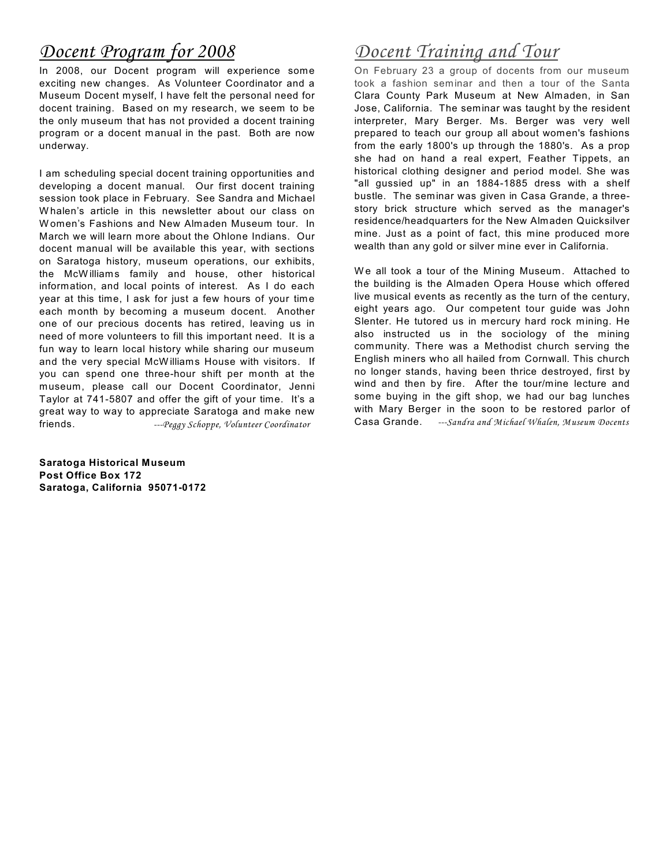### *Docent Program for 2008*

In 2008, our Docent program will experience some exciting new changes. As Volunteer Coordinator and a Museum Docent myself, I have felt the personal need for docent training. Based on my research, we seem to be the only museum that has not provided a docent training program or a docent manual in the past. Both are now underway.

I am scheduling special docent training opportunities and developing a docent manual. Our first docent training session took place in February. See Sandra and Michael W halen's article in this newsletter about our class on W omen's Fashions and New Almaden Museum tour. In March we will learn more about the Ohlone Indians. Our docent manual will be available this year, with sections on Saratoga history, museum operations, our exhibits, the McW illiams family and house, other historical information, and local points of interest. As I do each year at this time, I ask for just a few hours of your time each month by becoming a museum docent. Another one of our precious docents has retired, leaving us in need of more volunteers to fill this important need. It is a fun way to learn local history while sharing our museum and the very special McW illiams House with visitors. If you can spend one three-hour shift per month at the museum, please call our Docent Coordinator, Jenni Taylor at 741-5807 and offer the gift of your time. It's a great way to way to appreciate Saratoga and make new friends. *---Peggy Schoppe, Volunteer Coordinator* 

**Saratoga Historical Museum Post Office Box 172 Saratoga, California 95071-0172**

# *Docent Training and Tour*

On February 23 a group of docents from our museum took a fashion seminar and then a tour of the Santa Clara County Park Museum at New Almaden, in San Jose, California. The seminar was taught by the resident interpreter, Mary Berger. Ms. Berger was very well prepared to teach our group all about women's fashions from the early 1800's up through the 1880's. As a prop she had on hand a real expert, Feather Tippets, an historical clothing designer and period model. She was "all gussied up" in an 1884-1885 dress with a shelf bustle. The seminar was given in Casa Grande, a threestory brick structure which served as the manager's residence/headquarters for the New Almaden Quicksilver mine. Just as a point of fact, this mine produced more wealth than any gold or silver mine ever in California.

We all took a tour of the Mining Museum. Attached to the building is the Almaden Opera House which offered live musical events as recently as the turn of the century, eight years ago. Our competent tour guide was John Slenter. He tutored us in mercury hard rock mining. He also instructed us in the sociology of the mining community. There was a Methodist church serving the English miners who all hailed from Cornwall. This church no longer stands, having been thrice destroyed, first by wind and then by fire. After the tour/mine lecture and some buying in the gift shop, we had our bag lunches with Mary Berger in the soon to be restored parlor of Casa Grande. *---Sandra and Michael Whalen, Museum Docents*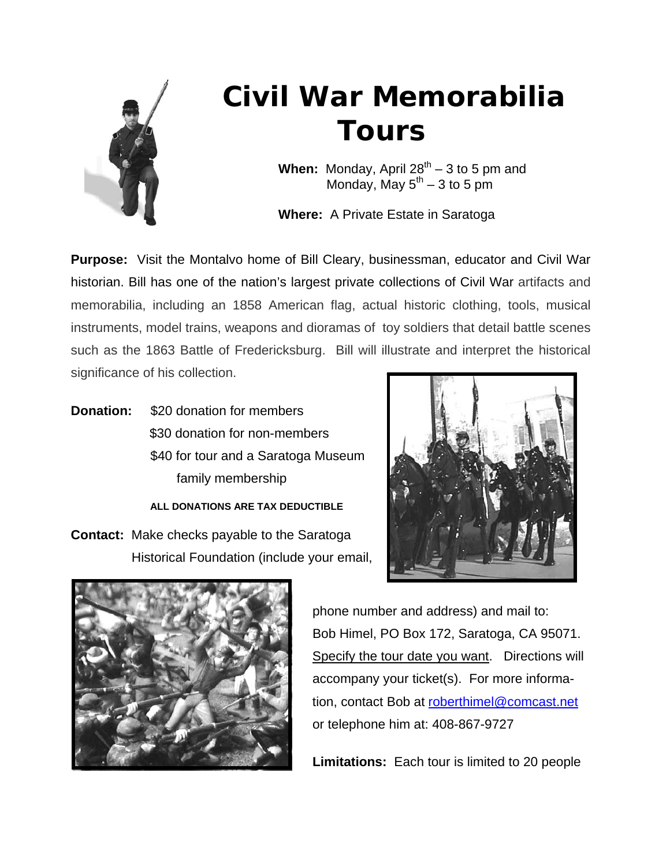

# **Civil War Memorabilia Tours**

**When:** Monday, April  $28^{th} - 3$  to 5 pm and Monday, May  $5<sup>th</sup> - 3$  to 5 pm

 **Where:** A Private Estate in Saratoga

**Purpose:** Visit the Montalvo home of Bill Cleary, businessman, educator and Civil War historian. Bill has one of the nation's largest private collections of Civil War artifacts and memorabilia, including an 1858 American flag, actual historic clothing, tools, musical instruments, model trains, weapons and dioramas of toy soldiers that detail battle scenes such as the 1863 Battle of Fredericksburg. Bill will illustrate and interpret the historical significance of his collection.

**Donation:** \$20 donation for members \$30 donation for non-members \$40 for tour and a Saratoga Museum family membership

 **ALL DONATIONS ARE TAX DEDUCTIBLE** 

**Contact:** Make checks payable to the Saratoga Historical Foundation (include your email,





 phone number and address) and mail to: Bob Himel, PO Box 172, Saratoga, CA 95071. Specify the tour date you want. Directions will accompany your ticket(s). For more informa tion, contact Bob at [roberthimel@comcast.net](mailto:roberthimel@comcast.net) or telephone him at: 408-867-9727

 **Limitations:** Each tour is limited to 20 people